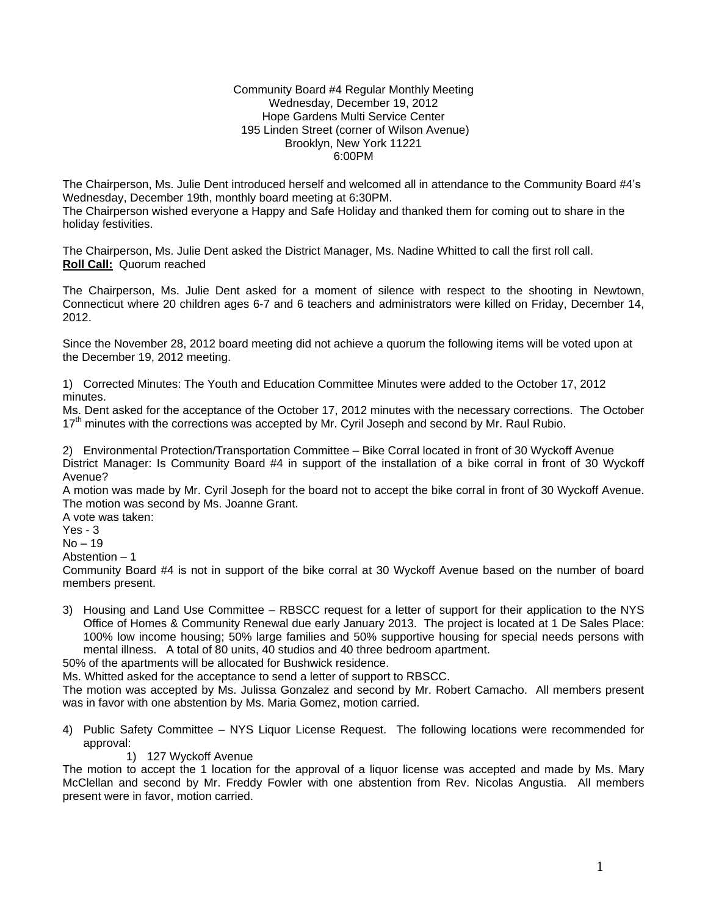## Community Board #4 Regular Monthly Meeting Wednesday, December 19, 2012 Hope Gardens Multi Service Center 195 Linden Street (corner of Wilson Avenue) Brooklyn, New York 11221 6:00PM

The Chairperson, Ms. Julie Dent introduced herself and welcomed all in attendance to the Community Board #4's Wednesday, December 19th, monthly board meeting at 6:30PM. The Chairperson wished everyone a Happy and Safe Holiday and thanked them for coming out to share in the holiday festivities.

The Chairperson, Ms. Julie Dent asked the District Manager, Ms. Nadine Whitted to call the first roll call. **Roll Call:** Quorum reached

The Chairperson, Ms. Julie Dent asked for a moment of silence with respect to the shooting in Newtown, Connecticut where 20 children ages 6-7 and 6 teachers and administrators were killed on Friday, December 14, 2012.

Since the November 28, 2012 board meeting did not achieve a quorum the following items will be voted upon at the December 19, 2012 meeting.

1) Corrected Minutes: The Youth and Education Committee Minutes were added to the October 17, 2012 minutes.

Ms. Dent asked for the acceptance of the October 17, 2012 minutes with the necessary corrections. The October 17<sup>th</sup> minutes with the corrections was accepted by Mr. Cyril Joseph and second by Mr. Raul Rubio.

2) Environmental Protection/Transportation Committee – Bike Corral located in front of 30 Wyckoff Avenue District Manager: Is Community Board #4 in support of the installation of a bike corral in front of 30 Wyckoff Avenue?

A motion was made by Mr. Cyril Joseph for the board not to accept the bike corral in front of 30 Wyckoff Avenue. The motion was second by Ms. Joanne Grant.

A vote was taken:

Yes - 3

 $No - 19$ 

Abstention – 1

Community Board #4 is not in support of the bike corral at 30 Wyckoff Avenue based on the number of board members present.

3) Housing and Land Use Committee – RBSCC request for a letter of support for their application to the NYS Office of Homes & Community Renewal due early January 2013. The project is located at 1 De Sales Place: 100% low income housing; 50% large families and 50% supportive housing for special needs persons with mental illness. A total of 80 units, 40 studios and 40 three bedroom apartment.

50% of the apartments will be allocated for Bushwick residence.

Ms. Whitted asked for the acceptance to send a letter of support to RBSCC.

The motion was accepted by Ms. Julissa Gonzalez and second by Mr. Robert Camacho. All members present was in favor with one abstention by Ms. Maria Gomez, motion carried.

- 4) Public Safety Committee NYS Liquor License Request. The following locations were recommended for approval:
	- 1) 127 Wyckoff Avenue

The motion to accept the 1 location for the approval of a liquor license was accepted and made by Ms. Mary McClellan and second by Mr. Freddy Fowler with one abstention from Rev. Nicolas Angustia. All members present were in favor, motion carried.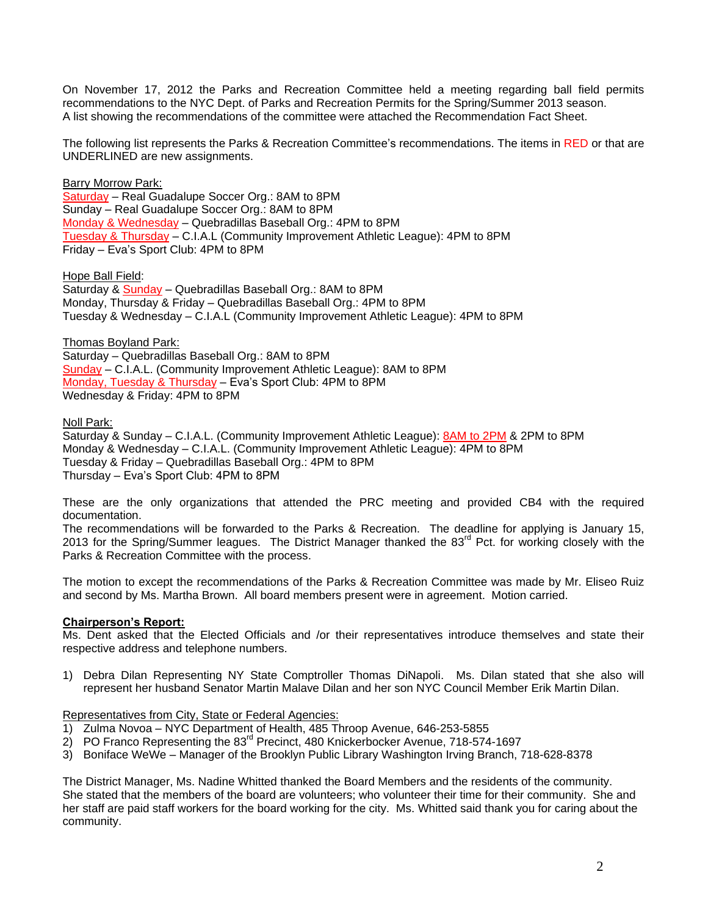On November 17, 2012 the Parks and Recreation Committee held a meeting regarding ball field permits recommendations to the NYC Dept. of Parks and Recreation Permits for the Spring/Summer 2013 season. A list showing the recommendations of the committee were attached the Recommendation Fact Sheet.

The following list represents the Parks & Recreation Committee's recommendations. The items in RED or that are UNDERLINED are new assignments.

Barry Morrow Park: Saturday – Real Guadalupe Soccer Org.: 8AM to 8PM Sunday – Real Guadalupe Soccer Org.: 8AM to 8PM Monday & Wednesday – Quebradillas Baseball Org.: 4PM to 8PM Tuesday & Thursday – C.I.A.L (Community Improvement Athletic League): 4PM to 8PM Friday – Eva's Sport Club: 4PM to 8PM

Hope Ball Field:

Saturday & Sunday – Quebradillas Baseball Org.: 8AM to 8PM Monday, Thursday & Friday – Quebradillas Baseball Org.: 4PM to 8PM Tuesday & Wednesday – C.I.A.L (Community Improvement Athletic League): 4PM to 8PM

Thomas Boyland Park: Saturday – Quebradillas Baseball Org.: 8AM to 8PM Sunday – C.I.A.L. (Community Improvement Athletic League): 8AM to 8PM Monday, Tuesday & Thursday – Eva's Sport Club: 4PM to 8PM Wednesday & Friday: 4PM to 8PM

Noll Park:

Saturday & Sunday – C.I.A.L. (Community Improvement Athletic League): 8AM to 2PM & 2PM to 8PM Monday & Wednesday – C.I.A.L. (Community Improvement Athletic League): 4PM to 8PM Tuesday & Friday – Quebradillas Baseball Org.: 4PM to 8PM Thursday – Eva's Sport Club: 4PM to 8PM

These are the only organizations that attended the PRC meeting and provided CB4 with the required documentation.

The recommendations will be forwarded to the Parks & Recreation. The deadline for applying is January 15, 2013 for the Spring/Summer leagues. The District Manager thanked the 83<sup>rd</sup> Pct. for working closely with the Parks & Recreation Committee with the process.

The motion to except the recommendations of the Parks & Recreation Committee was made by Mr. Eliseo Ruiz and second by Ms. Martha Brown. All board members present were in agreement. Motion carried.

## **Chairperson's Report:**

Ms. Dent asked that the Elected Officials and /or their representatives introduce themselves and state their respective address and telephone numbers.

1) Debra Dilan Representing NY State Comptroller Thomas DiNapoli. Ms. Dilan stated that she also will represent her husband Senator Martin Malave Dilan and her son NYC Council Member Erik Martin Dilan.

## Representatives from City, State or Federal Agencies:

- 1) Zulma Novoa NYC Department of Health, 485 Throop Avenue, 646-253-5855
- 2) PO Franco Representing the 83<sup>rd</sup> Precinct, 480 Knickerbocker Avenue, 718-574-1697
- 3) Boniface WeWe Manager of the Brooklyn Public Library Washington Irving Branch, 718-628-8378

The District Manager, Ms. Nadine Whitted thanked the Board Members and the residents of the community. She stated that the members of the board are volunteers; who volunteer their time for their community. She and her staff are paid staff workers for the board working for the city. Ms. Whitted said thank you for caring about the community.